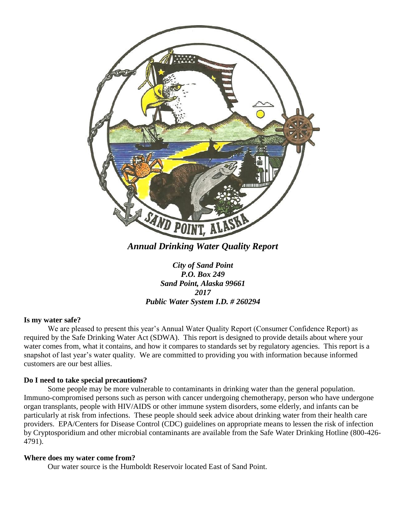

*City of Sand Point P.O. Box 249 Sand Point, Alaska 99661 2017 Public Water System I.D. # 260294*

# **Is my water safe?**

We are pleased to present this year's Annual Water Quality Report (Consumer Confidence Report) as required by the Safe Drinking Water Act (SDWA). This report is designed to provide details about where your water comes from, what it contains, and how it compares to standards set by regulatory agencies. This report is a snapshot of last year's water quality. We are committed to providing you with information because informed customers are our best allies.

# **Do I need to take special precautions?**

Some people may be more vulnerable to contaminants in drinking water than the general population. Immuno-compromised persons such as person with cancer undergoing chemotherapy, person who have undergone organ transplants, people with HIV/AIDS or other immune system disorders, some elderly, and infants can be particularly at risk from infections. These people should seek advice about drinking water from their health care providers. EPA/Centers for Disease Control (CDC) guidelines on appropriate means to lessen the risk of infection by Cryptosporidium and other microbial contaminants are available from the Safe Water Drinking Hotline (800-426- 4791).

### **Where does my water come from?**

Our water source is the Humboldt Reservoir located East of Sand Point.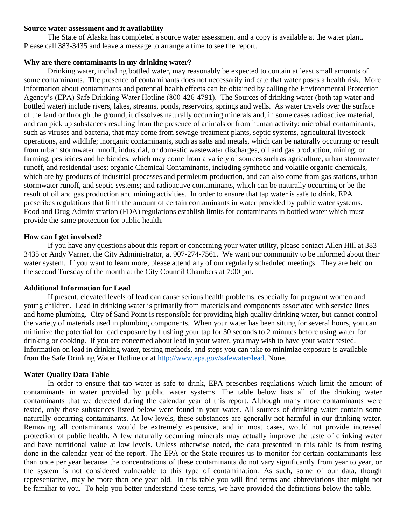### **Source water assessment and it availability**

The State of Alaska has completed a source water assessment and a copy is available at the water plant. Please call 383-3435 and leave a message to arrange a time to see the report.

# **Why are there contaminants in my drinking water?**

Drinking water, including bottled water, may reasonably be expected to contain at least small amounts of some contaminants. The presence of contaminants does not necessarily indicate that water poses a health risk. More information about contaminants and potential health effects can be obtained by calling the Environmental Protection Agency's (EPA) Safe Drinking Water Hotline (800-426-4791). The Sources of drinking water (both tap water and bottled water) include rivers, lakes, streams, ponds, reservoirs, springs and wells. As water travels over the surface of the land or through the ground, it dissolves naturally occurring minerals and, in some cases radioactive material, and can pick up substances resulting from the presence of animals or from human activity: microbial contaminants, such as viruses and bacteria, that may come from sewage treatment plants, septic systems, agricultural livestock operations, and wildlife; inorganic contaminants, such as salts and metals, which can be naturally occurring or result from urban stormwater runoff, industrial, or domestic wastewater discharges, oil and gas production, mining, or farming; pesticides and herbicides, which may come from a variety of sources such as agriculture, urban stormwater runoff, and residential uses; organic Chemical Contaminants, including synthetic and volatile organic chemicals, which are by-products of industrial processes and petroleum production, and can also come from gas stations, urban stormwater runoff, and septic systems; and radioactive contaminants, which can be naturally occurring or be the result of oil and gas production and mining activities. In order to ensure that tap water is safe to drink, EPA prescribes regulations that limit the amount of certain contaminants in water provided by public water systems. Food and Drug Administration (FDA) regulations establish limits for contaminants in bottled water which must provide the same protection for public health.

# **How can I get involved?**

If you have any questions about this report or concerning your water utility, please contact Allen Hill at 383- 3435 or Andy Varner, the City Administrator, at 907-274-7561. We want our community to be informed about their water system. If you want to learn more, please attend any of our regularly scheduled meetings. They are held on the second Tuesday of the month at the City Council Chambers at 7:00 pm.

# **Additional Information for Lead**

If present, elevated levels of lead can cause serious health problems, especially for pregnant women and young children. Lead in drinking water is primarily from materials and components associated with service lines and home plumbing. City of Sand Point is responsible for providing high quality drinking water, but cannot control the variety of materials used in plumbing components. When your water has been sitting for several hours, you can minimize the potential for lead exposure by flushing your tap for 30 seconds to 2 minutes before using water for drinking or cooking. If you are concerned about lead in your water, you may wish to have your water tested. Information on lead in drinking water, testing methods, and steps you can take to minimize exposure is available from the Safe Drinking Water Hotline or at [http://www.epa.gov/safewater/lead.](http://www.epa.gov/safewater/lead) None.

# **Water Quality Data Table**

In order to ensure that tap water is safe to drink, EPA prescribes regulations which limit the amount of contaminants in water provided by public water systems. The table below lists all of the drinking water contaminants that we detected during the calendar year of this report. Although many more contaminants were tested, only those substances listed below were found in your water. All sources of drinking water contain some naturally occurring contaminants. At low levels, these substances are generally not harmful in our drinking water. Removing all contaminants would be extremely expensive, and in most cases, would not provide increased protection of public health. A few naturally occurring minerals may actually improve the taste of drinking water and have nutritional value at low levels. Unless otherwise noted, the data presented in this table is from testing done in the calendar year of the report. The EPA or the State requires us to monitor for certain contaminants less than once per year because the concentrations of these contaminants do not vary significantly from year to year, or the system is not considered vulnerable to this type of contamination. As such, some of our data, though representative, may be more than one year old. In this table you will find terms and abbreviations that might not be familiar to you. To help you better understand these terms, we have provided the definitions below the table.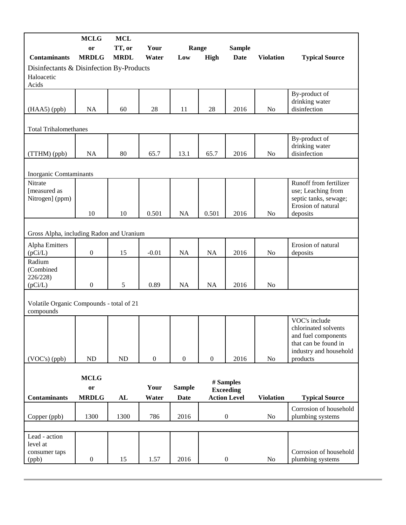|                                                                 | <b>MCLG</b>                       | <b>MCL</b>            |                  |                              |                  |                                                      |                  |                                                                                                                            |
|-----------------------------------------------------------------|-----------------------------------|-----------------------|------------------|------------------------------|------------------|------------------------------------------------------|------------------|----------------------------------------------------------------------------------------------------------------------------|
| <b>Contaminants</b>                                             | or<br><b>MRDLG</b>                | TT, or<br><b>MRDL</b> | Your<br>Water    | Range<br>Low                 | <b>High</b>      | <b>Sample</b><br><b>Date</b>                         | <b>Violation</b> | <b>Typical Source</b>                                                                                                      |
| Disinfectants & Disinfection By-Products<br>Haloacetic<br>Acids |                                   |                       |                  |                              |                  |                                                      |                  |                                                                                                                            |
| (HAA5) (ppb)                                                    | <b>NA</b>                         | 60                    | 28               | 11                           | 28               | 2016                                                 | No               | By-product of<br>drinking water<br>disinfection                                                                            |
| <b>Total Trihalomethanes</b>                                    |                                   |                       |                  |                              |                  |                                                      |                  |                                                                                                                            |
| (TTHM) (ppb)                                                    | <b>NA</b>                         | 80                    | 65.7             | 13.1                         | 65.7             | 2016                                                 | No               | By-product of<br>drinking water<br>disinfection                                                                            |
| Inorganic Comtaminants                                          |                                   |                       |                  |                              |                  |                                                      |                  |                                                                                                                            |
| Nitrate<br>[measured as<br>Nitrogen] (ppm)                      | 10                                | 10                    | 0.501            | NA                           | 0.501            | 2016                                                 | No               | Runoff from fertilizer<br>use; Leaching from<br>septic tanks, sewage;<br>Erosion of natural<br>deposits                    |
|                                                                 |                                   |                       |                  |                              |                  |                                                      |                  |                                                                                                                            |
| Gross Alpha, including Radon and Uranium                        |                                   |                       |                  |                              |                  |                                                      |                  |                                                                                                                            |
| Alpha Emitters<br>(pCi/L)                                       | $\boldsymbol{0}$                  | 15                    | $-0.01$          | NA                           | NA               | 2016                                                 | N <sub>o</sub>   | Erosion of natural<br>deposits                                                                                             |
| Radium<br>(Combined<br>226/228)<br>(pCi/L)                      | $\boldsymbol{0}$                  | 5                     | 0.89             | NA                           | <b>NA</b>        | 2016                                                 | N <sub>o</sub>   |                                                                                                                            |
| Volatile Organic Compounds - total of 21<br>compounds           |                                   |                       |                  |                              |                  |                                                      |                  |                                                                                                                            |
| (VOC's) (ppb)                                                   | ND                                | <b>ND</b>             | $\boldsymbol{0}$ | $\boldsymbol{0}$             | $\boldsymbol{0}$ | 2016                                                 | No               | VOC's include<br>chlorinated solvents<br>and fuel components<br>that can be found in<br>industry and household<br>products |
| <b>Contaminants</b>                                             | <b>MCLG</b><br>or<br><b>MRDLG</b> | AL                    | Your<br>Water    | <b>Sample</b><br><b>Date</b> |                  | # Samples<br><b>Exceeding</b><br><b>Action Level</b> | <b>Violation</b> | <b>Typical Source</b>                                                                                                      |
| Copper (ppb)                                                    | 1300                              | 1300                  | 786              | 2016                         |                  | $\boldsymbol{0}$                                     | No               | Corrosion of household<br>plumbing systems                                                                                 |
|                                                                 |                                   |                       |                  |                              |                  |                                                      |                  |                                                                                                                            |
| Lead - action<br>level at<br>consumer taps<br>(ppb)             | $\boldsymbol{0}$                  | 15                    | 1.57             | 2016                         |                  | $\boldsymbol{0}$                                     | No               | Corrosion of household<br>plumbing systems                                                                                 |